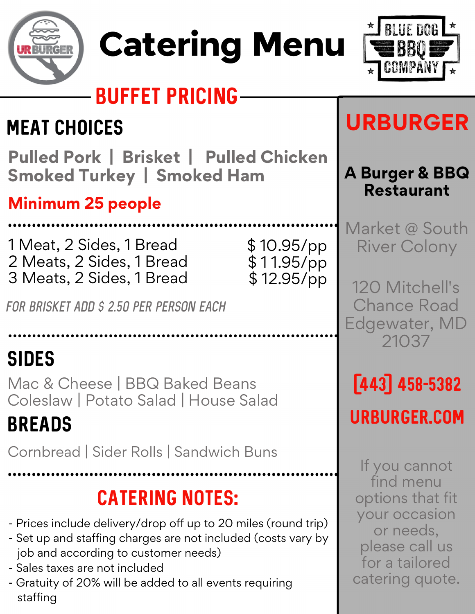

# Catering Menu



# BUFFET PRICING

# MEAT CHOICES

# **Pulled Pork | Brisket | Pulled Chicken Smoked Turkey | Smoked Ham**

**Minimum 25 people**

1 Meat, 2 Sides, 1 Bread 2 Meats, 2 Sides, 1 Bread 3 Meats, 2 Sides, 1 Bread

\$ 10.95/pp \$ 1 1.95/pp \$ 12.95/pp

*for brisket add \$ 2.50 per person each*

# SIDES

Mac & Cheese | BBQ Baked Beans Coleslaw | Potato Salad | House Salad

# BREADS

Cornbread | Sider Rolls | Sandwich Buns



- Prices include delivery/drop off up to 20 miles (round trip)
- Set up and staffing charges are not included (costs vary by
	- job and according to customer needs)
- Sales taxes are not included
- Gratuity of 20% will be added to all events requiring



# **URBURGER**

### **A Burger & BBQ Restaurant**

Market @ South River Colony

120 Mitchell's Chance Road Edgewater, MD



(443) 458-5382

urburger.com

If you cannot find menu options that fit your occasion or needs, please call us for a tailored catering quote.